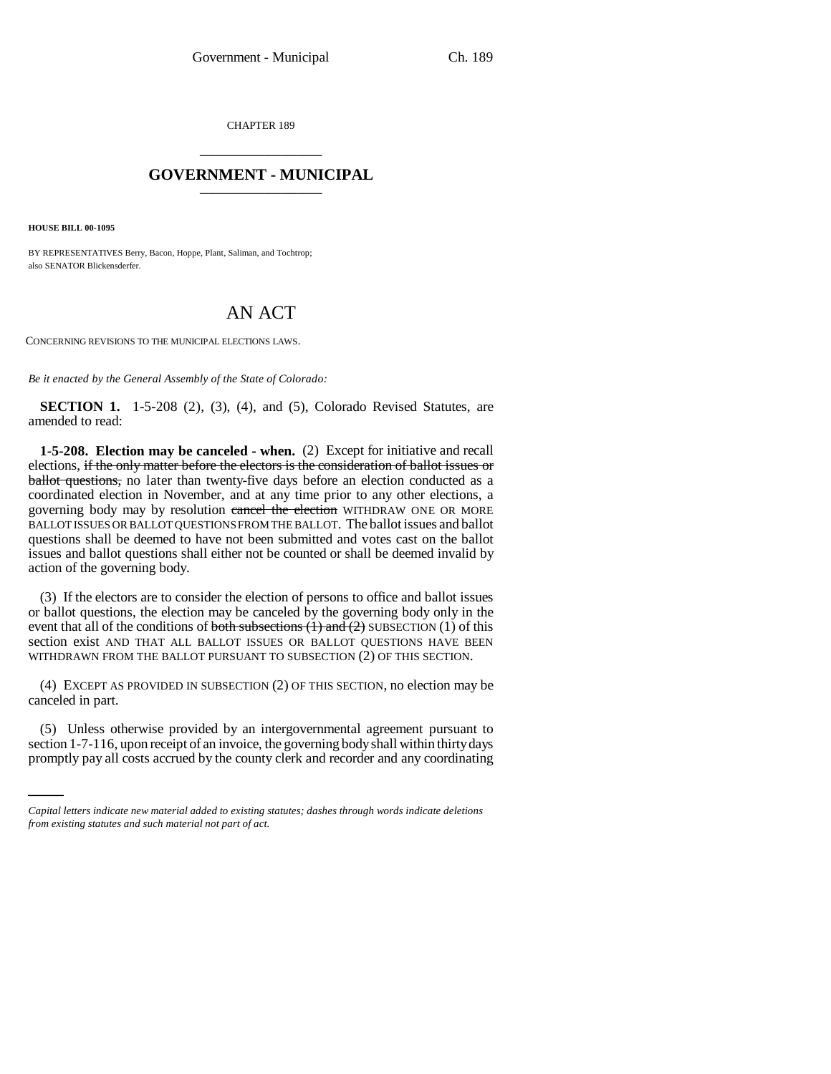CHAPTER 189 \_\_\_\_\_\_\_\_\_\_\_\_\_\_\_

# **GOVERNMENT - MUNICIPAL** \_\_\_\_\_\_\_\_\_\_\_\_\_\_\_

**HOUSE BILL 00-1095** 

BY REPRESENTATIVES Berry, Bacon, Hoppe, Plant, Saliman, and Tochtrop; also SENATOR Blickensderfer.

# AN ACT

CONCERNING REVISIONS TO THE MUNICIPAL ELECTIONS LAWS.

*Be it enacted by the General Assembly of the State of Colorado:*

**SECTION 1.** 1-5-208 (2), (3), (4), and (5), Colorado Revised Statutes, are amended to read:

**1-5-208. Election may be canceled - when.** (2) Except for initiative and recall elections, if the only matter before the electors is the consideration of ballot issues or ballot questions, no later than twenty-five days before an election conducted as a coordinated election in November, and at any time prior to any other elections, a governing body may by resolution cancel the election WITHDRAW ONE OR MORE BALLOT ISSUES OR BALLOT QUESTIONS FROM THE BALLOT. The ballot issues and ballot questions shall be deemed to have not been submitted and votes cast on the ballot issues and ballot questions shall either not be counted or shall be deemed invalid by action of the governing body.

(3) If the electors are to consider the election of persons to office and ballot issues or ballot questions, the election may be canceled by the governing body only in the event that all of the conditions of both subsections  $(1)$  and  $(2)$  SUBSECTION  $(1)$  of this section exist AND THAT ALL BALLOT ISSUES OR BALLOT QUESTIONS HAVE BEEN WITHDRAWN FROM THE BALLOT PURSUANT TO SUBSECTION (2) OF THIS SECTION.

(4) EXCEPT AS PROVIDED IN SUBSECTION (2) OF THIS SECTION, no election may be canceled in part.

(5) Unless otherwise provided by an intergovernmental agreement pursuant to section 1-7-116, upon receipt of an invoice, the governing body shall within thirty days promptly pay all costs accrued by the county clerk and recorder and any coordinating

*Capital letters indicate new material added to existing statutes; dashes through words indicate deletions from existing statutes and such material not part of act.*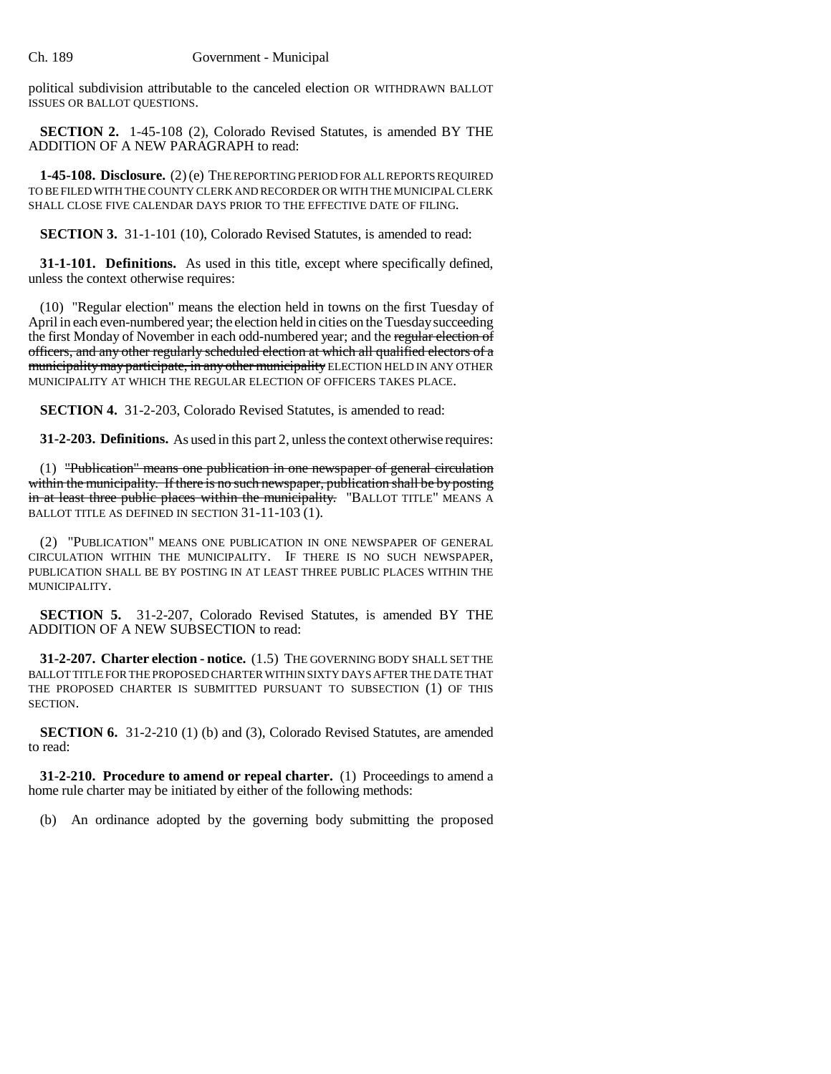political subdivision attributable to the canceled election OR WITHDRAWN BALLOT ISSUES OR BALLOT QUESTIONS.

**SECTION 2.** 1-45-108 (2), Colorado Revised Statutes, is amended BY THE ADDITION OF A NEW PARAGRAPH to read:

**1-45-108. Disclosure.** (2) (e) THE REPORTING PERIOD FOR ALL REPORTS REQUIRED TO BE FILED WITH THE COUNTY CLERK AND RECORDER OR WITH THE MUNICIPAL CLERK SHALL CLOSE FIVE CALENDAR DAYS PRIOR TO THE EFFECTIVE DATE OF FILING.

**SECTION 3.** 31-1-101 (10), Colorado Revised Statutes, is amended to read:

**31-1-101. Definitions.** As used in this title, except where specifically defined, unless the context otherwise requires:

(10) "Regular election" means the election held in towns on the first Tuesday of April in each even-numbered year; the election held in cities on the Tuesday succeeding the first Monday of November in each odd-numbered year; and the regular election of officers, and any other regularly scheduled election at which all qualified electors of a municipality may participate, in any other municipality ELECTION HELD IN ANY OTHER MUNICIPALITY AT WHICH THE REGULAR ELECTION OF OFFICERS TAKES PLACE.

**SECTION 4.** 31-2-203, Colorado Revised Statutes, is amended to read:

**31-2-203. Definitions.** As used in this part 2, unless the context otherwise requires:

(1) "Publication" means one publication in one newspaper of general circulation within the municipality. If there is no such newspaper, publication shall be by posting in at least three public places within the municipality. "BALLOT TITLE" MEANS A BALLOT TITLE AS DEFINED IN SECTION 31-11-103 (1).

(2) "PUBLICATION" MEANS ONE PUBLICATION IN ONE NEWSPAPER OF GENERAL CIRCULATION WITHIN THE MUNICIPALITY. IF THERE IS NO SUCH NEWSPAPER, PUBLICATION SHALL BE BY POSTING IN AT LEAST THREE PUBLIC PLACES WITHIN THE MUNICIPALITY.

**SECTION 5.** 31-2-207, Colorado Revised Statutes, is amended BY THE ADDITION OF A NEW SUBSECTION to read:

**31-2-207. Charter election - notice.** (1.5) THE GOVERNING BODY SHALL SET THE BALLOT TITLE FOR THE PROPOSED CHARTER WITHIN SIXTY DAYS AFTER THE DATE THAT THE PROPOSED CHARTER IS SUBMITTED PURSUANT TO SUBSECTION (1) OF THIS SECTION.

**SECTION 6.** 31-2-210 (1) (b) and (3), Colorado Revised Statutes, are amended to read:

**31-2-210. Procedure to amend or repeal charter.** (1) Proceedings to amend a home rule charter may be initiated by either of the following methods:

(b) An ordinance adopted by the governing body submitting the proposed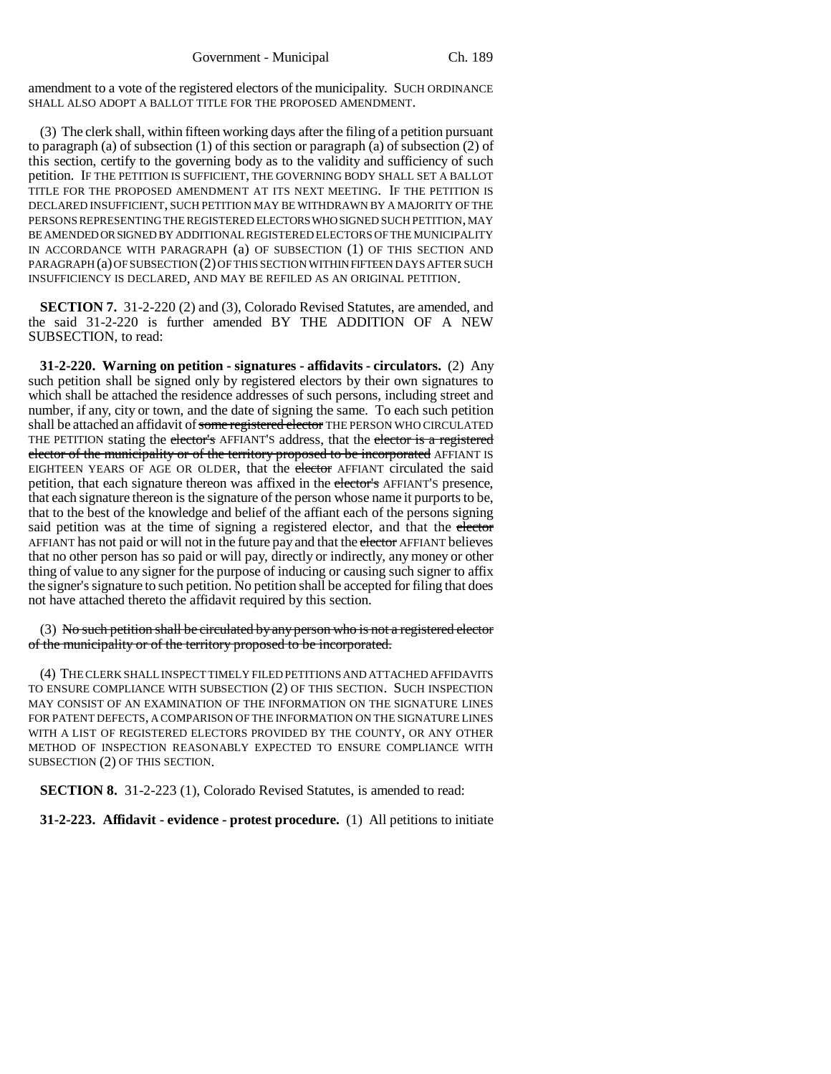amendment to a vote of the registered electors of the municipality. SUCH ORDINANCE SHALL ALSO ADOPT A BALLOT TITLE FOR THE PROPOSED AMENDMENT.

(3) The clerk shall, within fifteen working days after the filing of a petition pursuant to paragraph (a) of subsection  $(1)$  of this section or paragraph (a) of subsection  $(2)$  of this section, certify to the governing body as to the validity and sufficiency of such petition. IF THE PETITION IS SUFFICIENT, THE GOVERNING BODY SHALL SET A BALLOT TITLE FOR THE PROPOSED AMENDMENT AT ITS NEXT MEETING. IF THE PETITION IS DECLARED INSUFFICIENT, SUCH PETITION MAY BE WITHDRAWN BY A MAJORITY OF THE PERSONS REPRESENTING THE REGISTERED ELECTORS WHO SIGNED SUCH PETITION, MAY BE AMENDED OR SIGNED BY ADDITIONAL REGISTERED ELECTORS OF THE MUNICIPALITY IN ACCORDANCE WITH PARAGRAPH (a) OF SUBSECTION (1) OF THIS SECTION AND PARAGRAPH (a) OF SUBSECTION (2) OF THIS SECTION WITHIN FIFTEEN DAYS AFTER SUCH INSUFFICIENCY IS DECLARED, AND MAY BE REFILED AS AN ORIGINAL PETITION.

**SECTION 7.** 31-2-220 (2) and (3), Colorado Revised Statutes, are amended, and the said 31-2-220 is further amended BY THE ADDITION OF A NEW SUBSECTION, to read:

**31-2-220. Warning on petition - signatures - affidavits - circulators.** (2) Any such petition shall be signed only by registered electors by their own signatures to which shall be attached the residence addresses of such persons, including street and number, if any, city or town, and the date of signing the same. To each such petition shall be attached an affidavit of some registered elector THE PERSON WHO CIRCULATED THE PETITION stating the elector's AFFIANT'S address, that the elector is a registered elector of the municipality or of the territory proposed to be incorporated AFFIANT IS EIGHTEEN YEARS OF AGE OR OLDER, that the elector AFFIANT circulated the said petition, that each signature thereon was affixed in the elector's AFFIANT'S presence, that each signature thereon is the signature of the person whose name it purports to be, that to the best of the knowledge and belief of the affiant each of the persons signing said petition was at the time of signing a registered elector, and that the elector AFFIANT has not paid or will not in the future pay and that the elector AFFIANT believes that no other person has so paid or will pay, directly or indirectly, any money or other thing of value to any signer for the purpose of inducing or causing such signer to affix the signer's signature to such petition. No petition shall be accepted for filing that does not have attached thereto the affidavit required by this section.

 $(3)$  No such petition shall be circulated by any person who is not a registered elector of the municipality or of the territory proposed to be incorporated.

(4) THE CLERK SHALL INSPECT TIMELY FILED PETITIONS AND ATTACHED AFFIDAVITS TO ENSURE COMPLIANCE WITH SUBSECTION (2) OF THIS SECTION. SUCH INSPECTION MAY CONSIST OF AN EXAMINATION OF THE INFORMATION ON THE SIGNATURE LINES FOR PATENT DEFECTS, A COMPARISON OF THE INFORMATION ON THE SIGNATURE LINES WITH A LIST OF REGISTERED ELECTORS PROVIDED BY THE COUNTY, OR ANY OTHER METHOD OF INSPECTION REASONABLY EXPECTED TO ENSURE COMPLIANCE WITH SUBSECTION (2) OF THIS SECTION.

**SECTION 8.** 31-2-223 (1), Colorado Revised Statutes, is amended to read:

**31-2-223. Affidavit - evidence - protest procedure.** (1) All petitions to initiate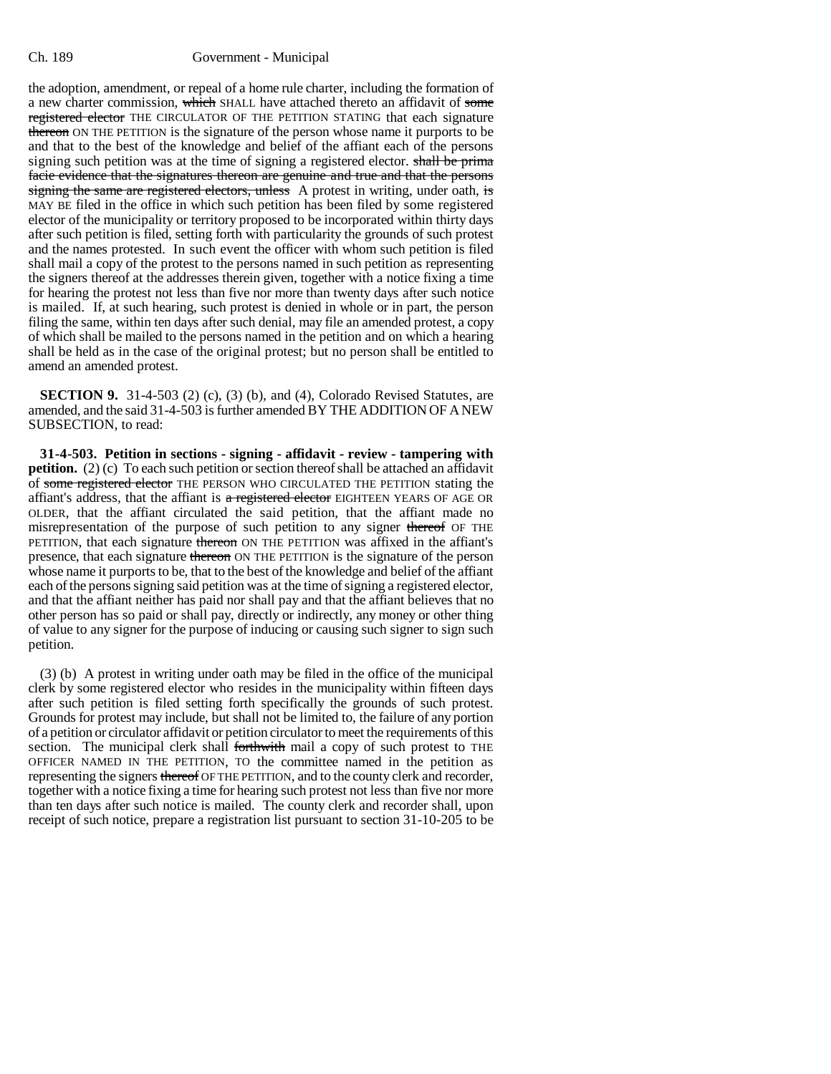the adoption, amendment, or repeal of a home rule charter, including the formation of a new charter commission, which SHALL have attached thereto an affidavit of some registered elector THE CIRCULATOR OF THE PETITION STATING that each signature thereon ON THE PETITION is the signature of the person whose name it purports to be and that to the best of the knowledge and belief of the affiant each of the persons signing such petition was at the time of signing a registered elector. shall be prima facie evidence that the signatures thereon are genuine and true and that the persons signing the same are registered electors, unless A protest in writing, under oath, is MAY BE filed in the office in which such petition has been filed by some registered elector of the municipality or territory proposed to be incorporated within thirty days after such petition is filed, setting forth with particularity the grounds of such protest and the names protested. In such event the officer with whom such petition is filed shall mail a copy of the protest to the persons named in such petition as representing the signers thereof at the addresses therein given, together with a notice fixing a time for hearing the protest not less than five nor more than twenty days after such notice is mailed. If, at such hearing, such protest is denied in whole or in part, the person filing the same, within ten days after such denial, may file an amended protest, a copy of which shall be mailed to the persons named in the petition and on which a hearing shall be held as in the case of the original protest; but no person shall be entitled to amend an amended protest.

**SECTION 9.** 31-4-503 (2) (c), (3) (b), and (4), Colorado Revised Statutes, are amended, and the said 31-4-503 is further amended BY THE ADDITION OF A NEW SUBSECTION, to read:

**31-4-503. Petition in sections - signing - affidavit - review - tampering with petition.** (2) (c) To each such petition or section thereof shall be attached an affidavit of some registered elector THE PERSON WHO CIRCULATED THE PETITION stating the affiant's address, that the affiant is  $\alpha$  registered elector EIGHTEEN YEARS OF AGE OR OLDER, that the affiant circulated the said petition, that the affiant made no misrepresentation of the purpose of such petition to any signer thereof OF THE PETITION, that each signature thereon ON THE PETITION was affixed in the affiant's presence, that each signature thereon ON THE PETITION is the signature of the person whose name it purports to be, that to the best of the knowledge and belief of the affiant each of the persons signing said petition was at the time of signing a registered elector, and that the affiant neither has paid nor shall pay and that the affiant believes that no other person has so paid or shall pay, directly or indirectly, any money or other thing of value to any signer for the purpose of inducing or causing such signer to sign such petition.

(3) (b) A protest in writing under oath may be filed in the office of the municipal clerk by some registered elector who resides in the municipality within fifteen days after such petition is filed setting forth specifically the grounds of such protest. Grounds for protest may include, but shall not be limited to, the failure of any portion of a petition or circulator affidavit or petition circulator to meet the requirements of this section. The municipal clerk shall forthwith mail a copy of such protest to THE OFFICER NAMED IN THE PETITION, TO the committee named in the petition as representing the signers thereof OF THE PETITION, and to the county clerk and recorder, together with a notice fixing a time for hearing such protest not less than five nor more than ten days after such notice is mailed. The county clerk and recorder shall, upon receipt of such notice, prepare a registration list pursuant to section 31-10-205 to be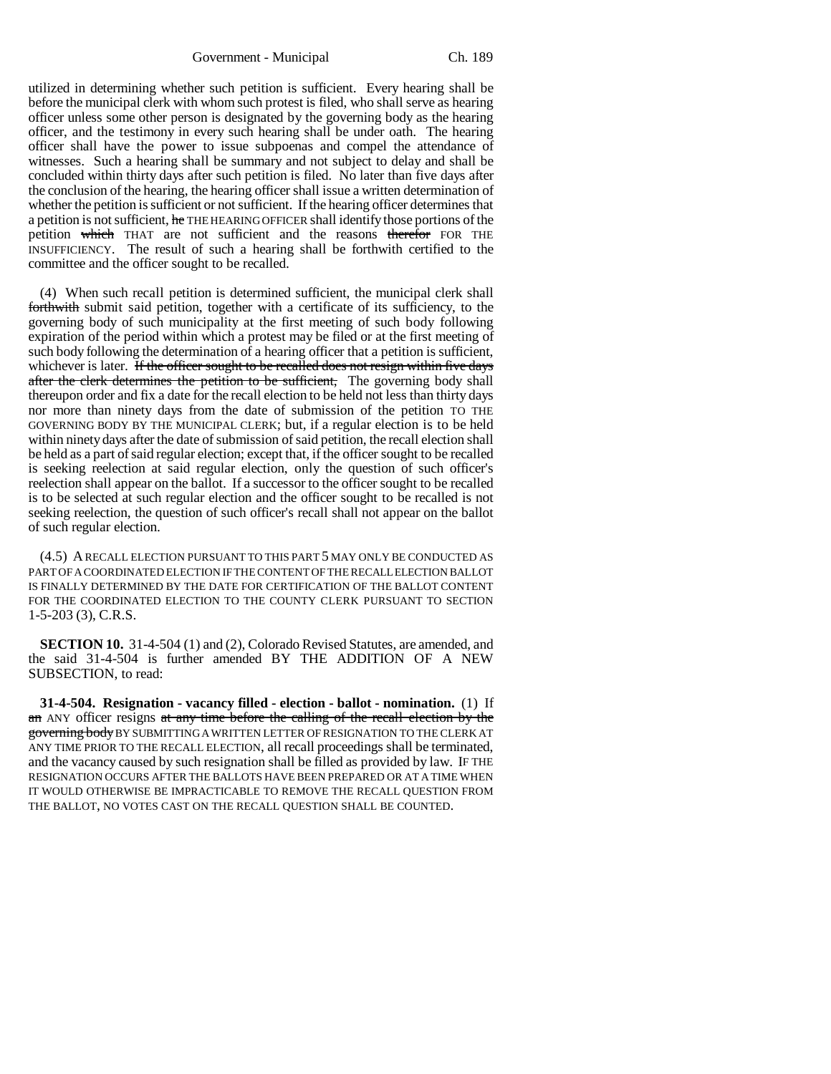Government - Municipal Ch. 189

utilized in determining whether such petition is sufficient. Every hearing shall be before the municipal clerk with whom such protest is filed, who shall serve as hearing officer unless some other person is designated by the governing body as the hearing officer, and the testimony in every such hearing shall be under oath. The hearing officer shall have the power to issue subpoenas and compel the attendance of witnesses. Such a hearing shall be summary and not subject to delay and shall be concluded within thirty days after such petition is filed. No later than five days after the conclusion of the hearing, the hearing officer shall issue a written determination of whether the petition is sufficient or not sufficient. If the hearing officer determines that a petition is not sufficient, he THE HEARING OFFICER shall identify those portions of the petition which THAT are not sufficient and the reasons therefor FOR THE INSUFFICIENCY. The result of such a hearing shall be forthwith certified to the committee and the officer sought to be recalled.

(4) When such recall petition is determined sufficient, the municipal clerk shall forthwith submit said petition, together with a certificate of its sufficiency, to the governing body of such municipality at the first meeting of such body following expiration of the period within which a protest may be filed or at the first meeting of such body following the determination of a hearing officer that a petition is sufficient, whichever is later. If the officer sought to be recalled does not resign within five days after the clerk determines the petition to be sufficient, The governing body shall thereupon order and fix a date for the recall election to be held not less than thirty days nor more than ninety days from the date of submission of the petition TO THE GOVERNING BODY BY THE MUNICIPAL CLERK; but, if a regular election is to be held within ninety days after the date of submission of said petition, the recall election shall be held as a part of said regular election; except that, if the officer sought to be recalled is seeking reelection at said regular election, only the question of such officer's reelection shall appear on the ballot. If a successor to the officer sought to be recalled is to be selected at such regular election and the officer sought to be recalled is not seeking reelection, the question of such officer's recall shall not appear on the ballot of such regular election.

(4.5) A RECALL ELECTION PURSUANT TO THIS PART 5 MAY ONLY BE CONDUCTED AS PART OF A COORDINATED ELECTION IF THE CONTENT OF THE RECALL ELECTION BALLOT IS FINALLY DETERMINED BY THE DATE FOR CERTIFICATION OF THE BALLOT CONTENT FOR THE COORDINATED ELECTION TO THE COUNTY CLERK PURSUANT TO SECTION 1-5-203 (3), C.R.S.

**SECTION 10.** 31-4-504 (1) and (2), Colorado Revised Statutes, are amended, and the said 31-4-504 is further amended BY THE ADDITION OF A NEW SUBSECTION, to read:

**31-4-504. Resignation - vacancy filled - election - ballot - nomination.** (1) If an ANY officer resigns at any time before the calling of the recall election by the governing body BY SUBMITTING A WRITTEN LETTER OF RESIGNATION TO THE CLERK AT ANY TIME PRIOR TO THE RECALL ELECTION, all recall proceedings shall be terminated, and the vacancy caused by such resignation shall be filled as provided by law. IF THE RESIGNATION OCCURS AFTER THE BALLOTS HAVE BEEN PREPARED OR AT A TIME WHEN IT WOULD OTHERWISE BE IMPRACTICABLE TO REMOVE THE RECALL QUESTION FROM THE BALLOT, NO VOTES CAST ON THE RECALL QUESTION SHALL BE COUNTED.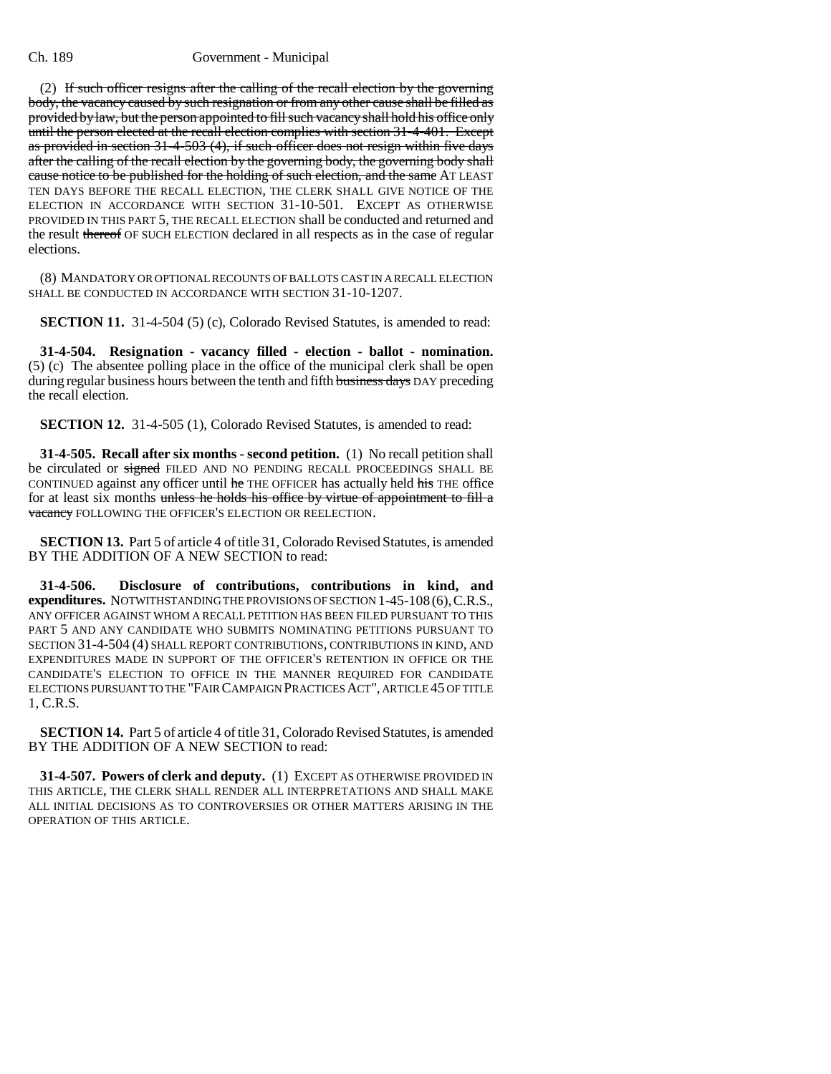(2) If such officer resigns after the calling of the recall election by the governing body, the vacancy caused by such resignation or from any other cause shall be filled as provided by law, but the person appointed to fill such vacancy shall hold his office only until the person elected at the recall election complies with section 31-4-401. Except as provided in section 31-4-503 (4), if such officer does not resign within five days after the calling of the recall election by the governing body, the governing body shall cause notice to be published for the holding of such election, and the same AT LEAST TEN DAYS BEFORE THE RECALL ELECTION, THE CLERK SHALL GIVE NOTICE OF THE ELECTION IN ACCORDANCE WITH SECTION 31-10-501. EXCEPT AS OTHERWISE PROVIDED IN THIS PART 5, THE RECALL ELECTION shall be conducted and returned and the result thereof OF SUCH ELECTION declared in all respects as in the case of regular elections.

(8) MANDATORY OR OPTIONAL RECOUNTS OF BALLOTS CAST IN A RECALL ELECTION SHALL BE CONDUCTED IN ACCORDANCE WITH SECTION 31-10-1207.

**SECTION 11.** 31-4-504 (5) (c), Colorado Revised Statutes, is amended to read:

**31-4-504. Resignation - vacancy filled - election - ballot - nomination.** (5) (c) The absentee polling place in the office of the municipal clerk shall be open during regular business hours between the tenth and fifth business days DAY preceding the recall election.

**SECTION 12.** 31-4-505 (1), Colorado Revised Statutes, is amended to read:

**31-4-505. Recall after six months - second petition.** (1) No recall petition shall be circulated or signed FILED AND NO PENDING RECALL PROCEEDINGS SHALL BE CONTINUED against any officer until he THE OFFICER has actually held his THE office for at least six months unless he holds his office by virtue of appointment to fill a vacancy FOLLOWING THE OFFICER'S ELECTION OR REELECTION.

**SECTION 13.** Part 5 of article 4 of title 31, Colorado Revised Statutes, is amended BY THE ADDITION OF A NEW SECTION to read:

**31-4-506. Disclosure of contributions, contributions in kind, and expenditures.** NOTWITHSTANDING THE PROVISIONS OF SECTION 1-45-108 (6),C.R.S., ANY OFFICER AGAINST WHOM A RECALL PETITION HAS BEEN FILED PURSUANT TO THIS PART 5 AND ANY CANDIDATE WHO SUBMITS NOMINATING PETITIONS PURSUANT TO SECTION 31-4-504 (4) SHALL REPORT CONTRIBUTIONS, CONTRIBUTIONS IN KIND, AND EXPENDITURES MADE IN SUPPORT OF THE OFFICER'S RETENTION IN OFFICE OR THE CANDIDATE'S ELECTION TO OFFICE IN THE MANNER REQUIRED FOR CANDIDATE ELECTIONS PURSUANT TO THE "FAIR CAMPAIGN PRACTICES ACT", ARTICLE 45 OF TITLE 1, C.R.S.

**SECTION 14.** Part 5 of article 4 of title 31, Colorado Revised Statutes, is amended BY THE ADDITION OF A NEW SECTION to read:

**31-4-507. Powers of clerk and deputy.** (1) EXCEPT AS OTHERWISE PROVIDED IN THIS ARTICLE, THE CLERK SHALL RENDER ALL INTERPRETATIONS AND SHALL MAKE ALL INITIAL DECISIONS AS TO CONTROVERSIES OR OTHER MATTERS ARISING IN THE OPERATION OF THIS ARTICLE.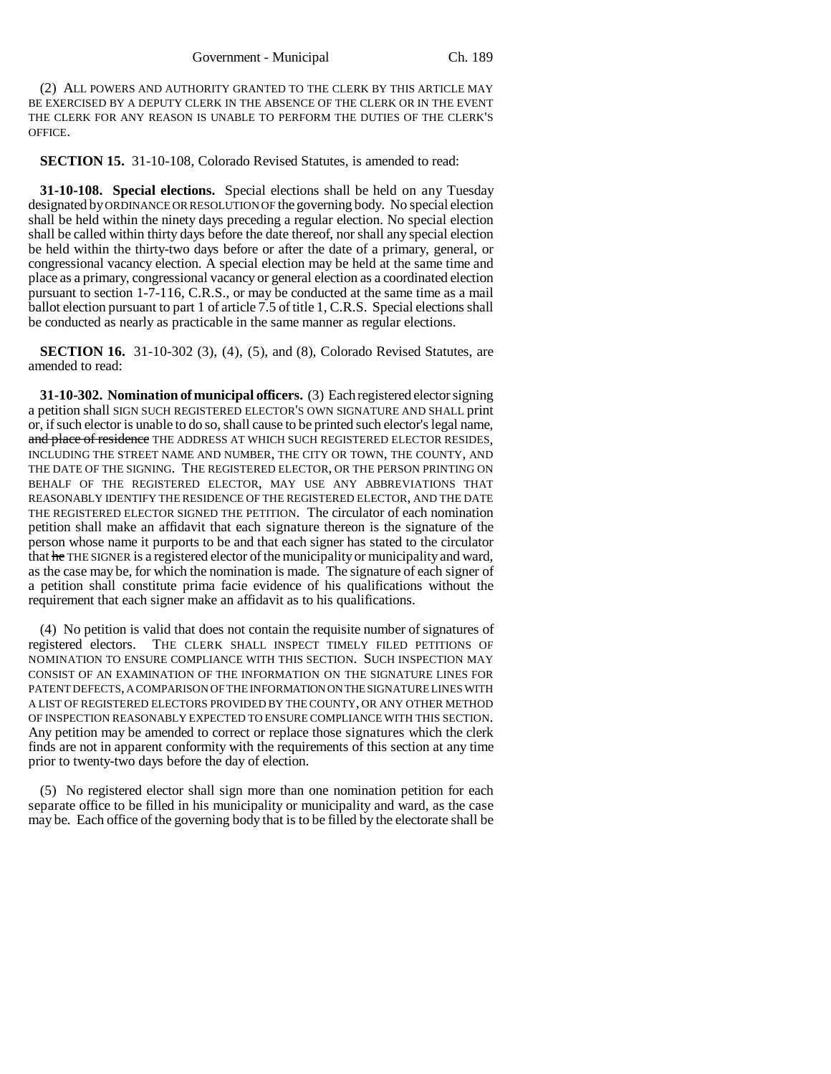(2) ALL POWERS AND AUTHORITY GRANTED TO THE CLERK BY THIS ARTICLE MAY BE EXERCISED BY A DEPUTY CLERK IN THE ABSENCE OF THE CLERK OR IN THE EVENT THE CLERK FOR ANY REASON IS UNABLE TO PERFORM THE DUTIES OF THE CLERK'S OFFICE.

**SECTION 15.** 31-10-108, Colorado Revised Statutes, is amended to read:

**31-10-108. Special elections.** Special elections shall be held on any Tuesday designated by ORDINANCE OR RESOLUTION OF the governing body. No special election shall be held within the ninety days preceding a regular election. No special election shall be called within thirty days before the date thereof, nor shall any special election be held within the thirty-two days before or after the date of a primary, general, or congressional vacancy election. A special election may be held at the same time and place as a primary, congressional vacancy or general election as a coordinated election pursuant to section 1-7-116, C.R.S., or may be conducted at the same time as a mail ballot election pursuant to part 1 of article 7.5 of title 1, C.R.S. Special elections shall be conducted as nearly as practicable in the same manner as regular elections.

**SECTION 16.** 31-10-302 (3), (4), (5), and (8), Colorado Revised Statutes, are amended to read:

**31-10-302. Nomination of municipal officers.** (3) Each registered elector signing a petition shall SIGN SUCH REGISTERED ELECTOR'S OWN SIGNATURE AND SHALL print or, if such elector is unable to do so, shall cause to be printed such elector's legal name, and place of residence THE ADDRESS AT WHICH SUCH REGISTERED ELECTOR RESIDES, INCLUDING THE STREET NAME AND NUMBER, THE CITY OR TOWN, THE COUNTY, AND THE DATE OF THE SIGNING. THE REGISTERED ELECTOR, OR THE PERSON PRINTING ON BEHALF OF THE REGISTERED ELECTOR, MAY USE ANY ABBREVIATIONS THAT REASONABLY IDENTIFY THE RESIDENCE OF THE REGISTERED ELECTOR, AND THE DATE THE REGISTERED ELECTOR SIGNED THE PETITION. The circulator of each nomination petition shall make an affidavit that each signature thereon is the signature of the person whose name it purports to be and that each signer has stated to the circulator that he THE SIGNER is a registered elector of the municipality or municipality and ward, as the case may be, for which the nomination is made. The signature of each signer of a petition shall constitute prima facie evidence of his qualifications without the requirement that each signer make an affidavit as to his qualifications.

(4) No petition is valid that does not contain the requisite number of signatures of registered electors. THE CLERK SHALL INSPECT TIMELY FILED PETITIONS OF NOMINATION TO ENSURE COMPLIANCE WITH THIS SECTION. SUCH INSPECTION MAY CONSIST OF AN EXAMINATION OF THE INFORMATION ON THE SIGNATURE LINES FOR PATENT DEFECTS, A COMPARISON OF THE INFORMATION ON THE SIGNATURE LINES WITH A LIST OF REGISTERED ELECTORS PROVIDED BY THE COUNTY, OR ANY OTHER METHOD OF INSPECTION REASONABLY EXPECTED TO ENSURE COMPLIANCE WITH THIS SECTION. Any petition may be amended to correct or replace those signatures which the clerk finds are not in apparent conformity with the requirements of this section at any time prior to twenty-two days before the day of election.

(5) No registered elector shall sign more than one nomination petition for each separate office to be filled in his municipality or municipality and ward, as the case may be. Each office of the governing body that is to be filled by the electorate shall be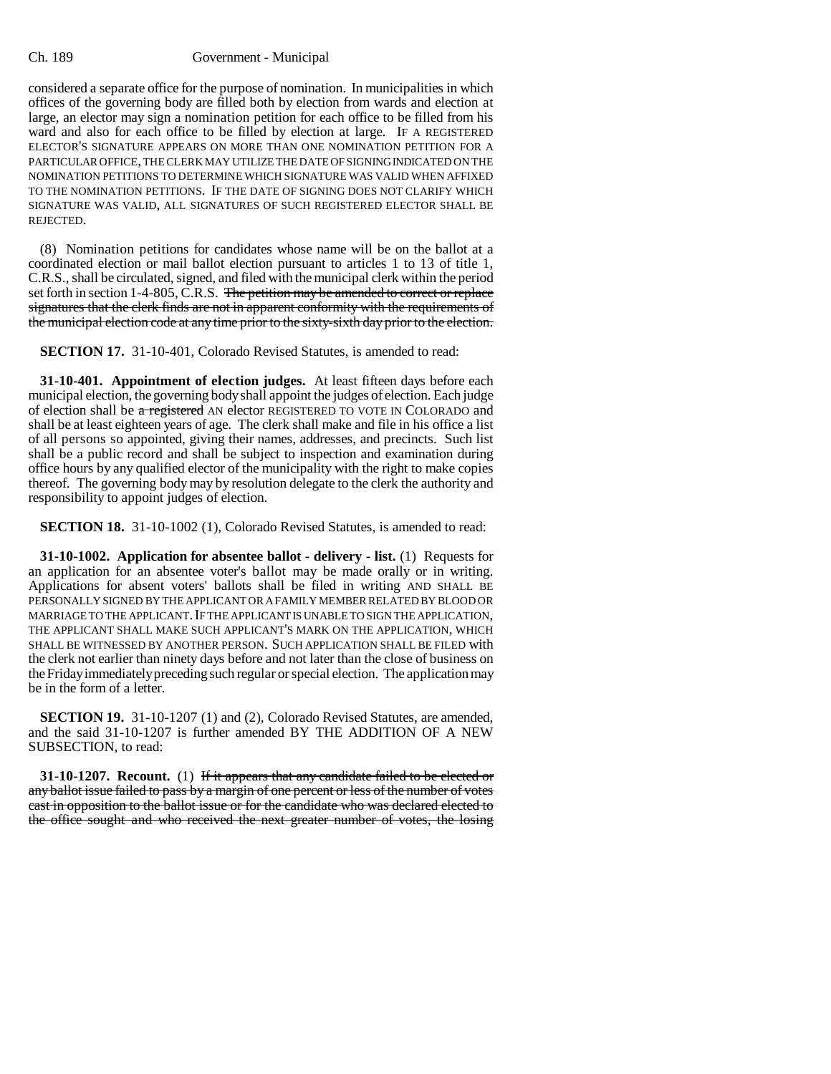considered a separate office for the purpose of nomination. In municipalities in which offices of the governing body are filled both by election from wards and election at large, an elector may sign a nomination petition for each office to be filled from his ward and also for each office to be filled by election at large. IF A REGISTERED ELECTOR'S SIGNATURE APPEARS ON MORE THAN ONE NOMINATION PETITION FOR A PARTICULAR OFFICE, THE CLERK MAY UTILIZE THE DATE OF SIGNING INDICATED ON THE NOMINATION PETITIONS TO DETERMINE WHICH SIGNATURE WAS VALID WHEN AFFIXED TO THE NOMINATION PETITIONS. IF THE DATE OF SIGNING DOES NOT CLARIFY WHICH SIGNATURE WAS VALID, ALL SIGNATURES OF SUCH REGISTERED ELECTOR SHALL BE REJECTED.

(8) Nomination petitions for candidates whose name will be on the ballot at a coordinated election or mail ballot election pursuant to articles 1 to 13 of title 1, C.R.S., shall be circulated, signed, and filed with the municipal clerk within the period set forth in section 1-4-805, C.R.S. The petition may be amended to correct or replace signatures that the clerk finds are not in apparent conformity with the requirements of the municipal election code at any time prior to the sixty-sixth day prior to the election.

**SECTION 17.** 31-10-401, Colorado Revised Statutes, is amended to read:

**31-10-401. Appointment of election judges.** At least fifteen days before each municipal election, the governing body shall appoint the judges of election. Each judge of election shall be a registered AN elector REGISTERED TO VOTE IN COLORADO and shall be at least eighteen years of age. The clerk shall make and file in his office a list of all persons so appointed, giving their names, addresses, and precincts. Such list shall be a public record and shall be subject to inspection and examination during office hours by any qualified elector of the municipality with the right to make copies thereof. The governing body may by resolution delegate to the clerk the authority and responsibility to appoint judges of election.

**SECTION 18.** 31-10-1002 (1), Colorado Revised Statutes, is amended to read:

**31-10-1002. Application for absentee ballot - delivery - list.** (1) Requests for an application for an absentee voter's ballot may be made orally or in writing. Applications for absent voters' ballots shall be filed in writing AND SHALL BE PERSONALLY SIGNED BY THE APPLICANT OR A FAMILY MEMBER RELATED BY BLOOD OR MARRIAGE TO THE APPLICANT. IF THE APPLICANT IS UNABLE TO SIGN THE APPLICATION, THE APPLICANT SHALL MAKE SUCH APPLICANT'S MARK ON THE APPLICATION, WHICH SHALL BE WITNESSED BY ANOTHER PERSON. SUCH APPLICATION SHALL BE FILED with the clerk not earlier than ninety days before and not later than the close of business on the Friday immediately preceding such regular or special election. The application may be in the form of a letter.

**SECTION 19.** 31-10-1207 (1) and (2), Colorado Revised Statutes, are amended, and the said 31-10-1207 is further amended BY THE ADDITION OF A NEW SUBSECTION, to read:

**31-10-1207.** Recount. (1) If it appears that any candidate failed to be elected or any ballot issue failed to pass by a margin of one percent or less of the number of votes cast in opposition to the ballot issue or for the candidate who was declared elected to the office sought and who received the next greater number of votes, the losing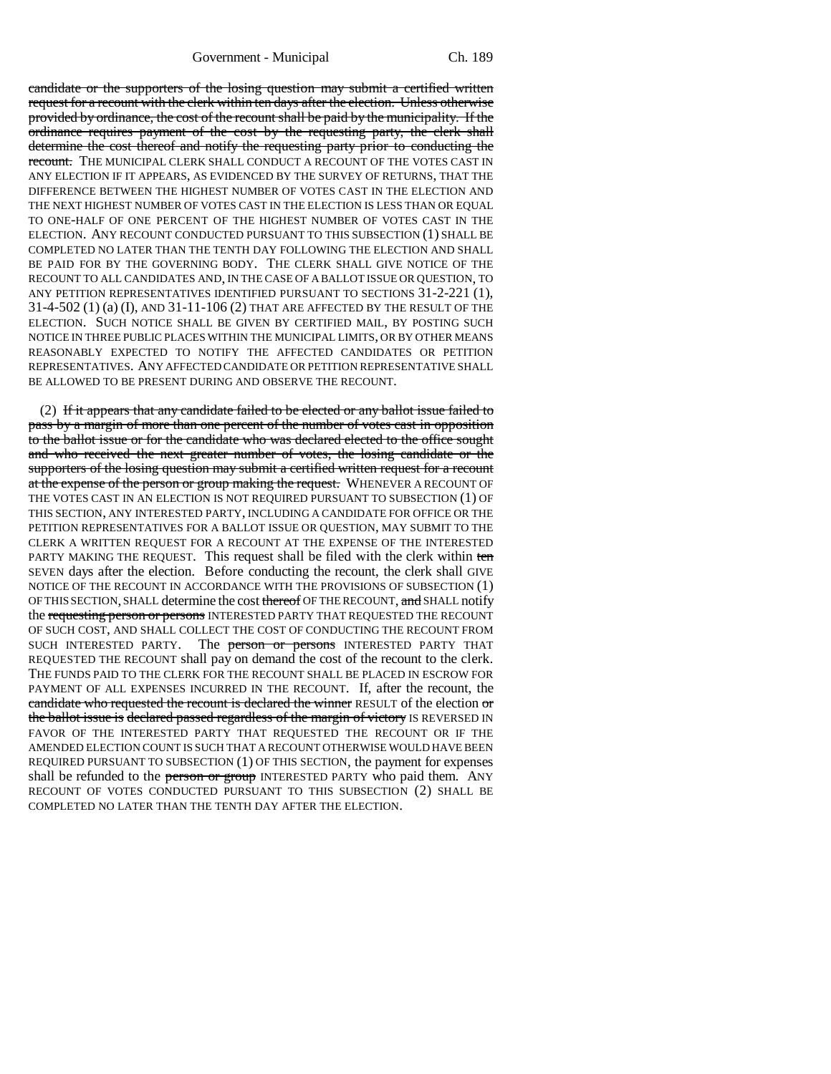Government - Municipal Ch. 189

candidate or the supporters of the losing question may submit a certified written request for a recount with the clerk within ten days after the election. Unless otherwise provided by ordinance, the cost of the recount shall be paid by the municipality. If the ordinance requires payment of the cost by the requesting party, the clerk shall determine the cost thereof and notify the requesting party prior to conducting the recount. THE MUNICIPAL CLERK SHALL CONDUCT A RECOUNT OF THE VOTES CAST IN ANY ELECTION IF IT APPEARS, AS EVIDENCED BY THE SURVEY OF RETURNS, THAT THE DIFFERENCE BETWEEN THE HIGHEST NUMBER OF VOTES CAST IN THE ELECTION AND THE NEXT HIGHEST NUMBER OF VOTES CAST IN THE ELECTION IS LESS THAN OR EQUAL TO ONE-HALF OF ONE PERCENT OF THE HIGHEST NUMBER OF VOTES CAST IN THE ELECTION. ANY RECOUNT CONDUCTED PURSUANT TO THIS SUBSECTION (1) SHALL BE COMPLETED NO LATER THAN THE TENTH DAY FOLLOWING THE ELECTION AND SHALL BE PAID FOR BY THE GOVERNING BODY. THE CLERK SHALL GIVE NOTICE OF THE RECOUNT TO ALL CANDIDATES AND, IN THE CASE OF A BALLOT ISSUE OR QUESTION, TO ANY PETITION REPRESENTATIVES IDENTIFIED PURSUANT TO SECTIONS 31-2-221 (1), 31-4-502 (1) (a) (I), AND 31-11-106 (2) THAT ARE AFFECTED BY THE RESULT OF THE ELECTION. SUCH NOTICE SHALL BE GIVEN BY CERTIFIED MAIL, BY POSTING SUCH NOTICE IN THREE PUBLIC PLACES WITHIN THE MUNICIPAL LIMITS, OR BY OTHER MEANS REASONABLY EXPECTED TO NOTIFY THE AFFECTED CANDIDATES OR PETITION REPRESENTATIVES. ANY AFFECTED CANDIDATE OR PETITION REPRESENTATIVE SHALL BE ALLOWED TO BE PRESENT DURING AND OBSERVE THE RECOUNT.

(2) If it appears that any candidate failed to be elected or any ballot issue failed to pass by a margin of more than one percent of the number of votes cast in opposition to the ballot issue or for the candidate who was declared elected to the office sought and who received the next greater number of votes, the losing candidate or the supporters of the losing question may submit a certified written request for a recount at the expense of the person or group making the request. WHENEVER A RECOUNT OF THE VOTES CAST IN AN ELECTION IS NOT REQUIRED PURSUANT TO SUBSECTION (1) OF THIS SECTION, ANY INTERESTED PARTY, INCLUDING A CANDIDATE FOR OFFICE OR THE PETITION REPRESENTATIVES FOR A BALLOT ISSUE OR QUESTION, MAY SUBMIT TO THE CLERK A WRITTEN REQUEST FOR A RECOUNT AT THE EXPENSE OF THE INTERESTED PARTY MAKING THE REQUEST. This request shall be filed with the clerk within ten SEVEN days after the election. Before conducting the recount, the clerk shall GIVE NOTICE OF THE RECOUNT IN ACCORDANCE WITH THE PROVISIONS OF SUBSECTION (1) OF THIS SECTION, SHALL determine the cost thereof OF THE RECOUNT, and SHALL notify the requesting person or persons INTERESTED PARTY THAT REQUESTED THE RECOUNT OF SUCH COST, AND SHALL COLLECT THE COST OF CONDUCTING THE RECOUNT FROM SUCH INTERESTED PARTY. The **person or persons** INTERESTED PARTY THAT REQUESTED THE RECOUNT shall pay on demand the cost of the recount to the clerk. THE FUNDS PAID TO THE CLERK FOR THE RECOUNT SHALL BE PLACED IN ESCROW FOR PAYMENT OF ALL EXPENSES INCURRED IN THE RECOUNT. If, after the recount, the candidate who requested the recount is declared the winner RESULT of the election  $\sigma$ r the ballot issue is declared passed regardless of the margin of victory IS REVERSED IN FAVOR OF THE INTERESTED PARTY THAT REQUESTED THE RECOUNT OR IF THE AMENDED ELECTION COUNT IS SUCH THAT A RECOUNT OTHERWISE WOULD HAVE BEEN REQUIRED PURSUANT TO SUBSECTION (1) OF THIS SECTION, the payment for expenses shall be refunded to the person or group INTERESTED PARTY who paid them. ANY RECOUNT OF VOTES CONDUCTED PURSUANT TO THIS SUBSECTION (2) SHALL BE COMPLETED NO LATER THAN THE TENTH DAY AFTER THE ELECTION.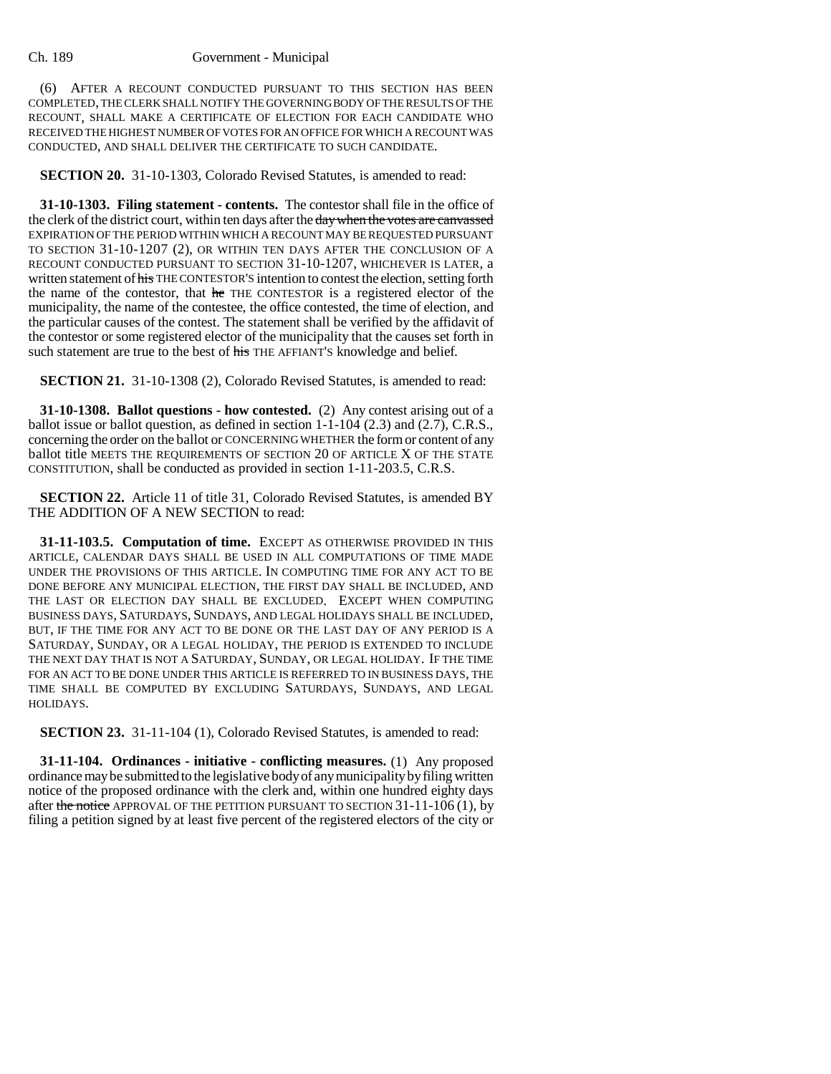(6) AFTER A RECOUNT CONDUCTED PURSUANT TO THIS SECTION HAS BEEN COMPLETED, THE CLERK SHALL NOTIFY THE GOVERNING BODY OF THE RESULTS OF THE RECOUNT, SHALL MAKE A CERTIFICATE OF ELECTION FOR EACH CANDIDATE WHO RECEIVED THE HIGHEST NUMBER OF VOTES FOR AN OFFICE FOR WHICH A RECOUNT WAS CONDUCTED, AND SHALL DELIVER THE CERTIFICATE TO SUCH CANDIDATE.

**SECTION 20.** 31-10-1303, Colorado Revised Statutes, is amended to read:

**31-10-1303. Filing statement - contents.** The contestor shall file in the office of the clerk of the district court, within ten days after the day when the votes are canvassed EXPIRATION OF THE PERIOD WITHIN WHICH A RECOUNT MAY BE REQUESTED PURSUANT TO SECTION 31-10-1207 (2), OR WITHIN TEN DAYS AFTER THE CONCLUSION OF A RECOUNT CONDUCTED PURSUANT TO SECTION 31-10-1207, WHICHEVER IS LATER, a written statement of his THE CONTESTOR'S intention to contest the election, setting forth the name of the contestor, that he THE CONTESTOR is a registered elector of the municipality, the name of the contestee, the office contested, the time of election, and the particular causes of the contest. The statement shall be verified by the affidavit of the contestor or some registered elector of the municipality that the causes set forth in such statement are true to the best of his THE AFFIANT'S knowledge and belief.

**SECTION 21.** 31-10-1308 (2), Colorado Revised Statutes, is amended to read:

**31-10-1308. Ballot questions - how contested.** (2) Any contest arising out of a ballot issue or ballot question, as defined in section 1-1-104 (2.3) and (2.7), C.R.S., concerning the order on the ballot or CONCERNING WHETHER the form or content of any ballot title MEETS THE REQUIREMENTS OF SECTION 20 OF ARTICLE X OF THE STATE CONSTITUTION, shall be conducted as provided in section 1-11-203.5, C.R.S.

**SECTION 22.** Article 11 of title 31, Colorado Revised Statutes, is amended BY THE ADDITION OF A NEW SECTION to read:

**31-11-103.5. Computation of time.** EXCEPT AS OTHERWISE PROVIDED IN THIS ARTICLE, CALENDAR DAYS SHALL BE USED IN ALL COMPUTATIONS OF TIME MADE UNDER THE PROVISIONS OF THIS ARTICLE. IN COMPUTING TIME FOR ANY ACT TO BE DONE BEFORE ANY MUNICIPAL ELECTION, THE FIRST DAY SHALL BE INCLUDED, AND THE LAST OR ELECTION DAY SHALL BE EXCLUDED. EXCEPT WHEN COMPUTING BUSINESS DAYS, SATURDAYS, SUNDAYS, AND LEGAL HOLIDAYS SHALL BE INCLUDED, BUT, IF THE TIME FOR ANY ACT TO BE DONE OR THE LAST DAY OF ANY PERIOD IS A SATURDAY, SUNDAY, OR A LEGAL HOLIDAY, THE PERIOD IS EXTENDED TO INCLUDE THE NEXT DAY THAT IS NOT A SATURDAY, SUNDAY, OR LEGAL HOLIDAY. IF THE TIME FOR AN ACT TO BE DONE UNDER THIS ARTICLE IS REFERRED TO IN BUSINESS DAYS, THE TIME SHALL BE COMPUTED BY EXCLUDING SATURDAYS, SUNDAYS, AND LEGAL HOLIDAYS.

**SECTION 23.** 31-11-104 (1), Colorado Revised Statutes, is amended to read:

**31-11-104. Ordinances - initiative - conflicting measures.** (1) Any proposed ordinance may be submitted to the legislative body of any municipality by filing written notice of the proposed ordinance with the clerk and, within one hundred eighty days after the notice APPROVAL OF THE PETITION PURSUANT TO SECTION 31-11-106 (1), by filing a petition signed by at least five percent of the registered electors of the city or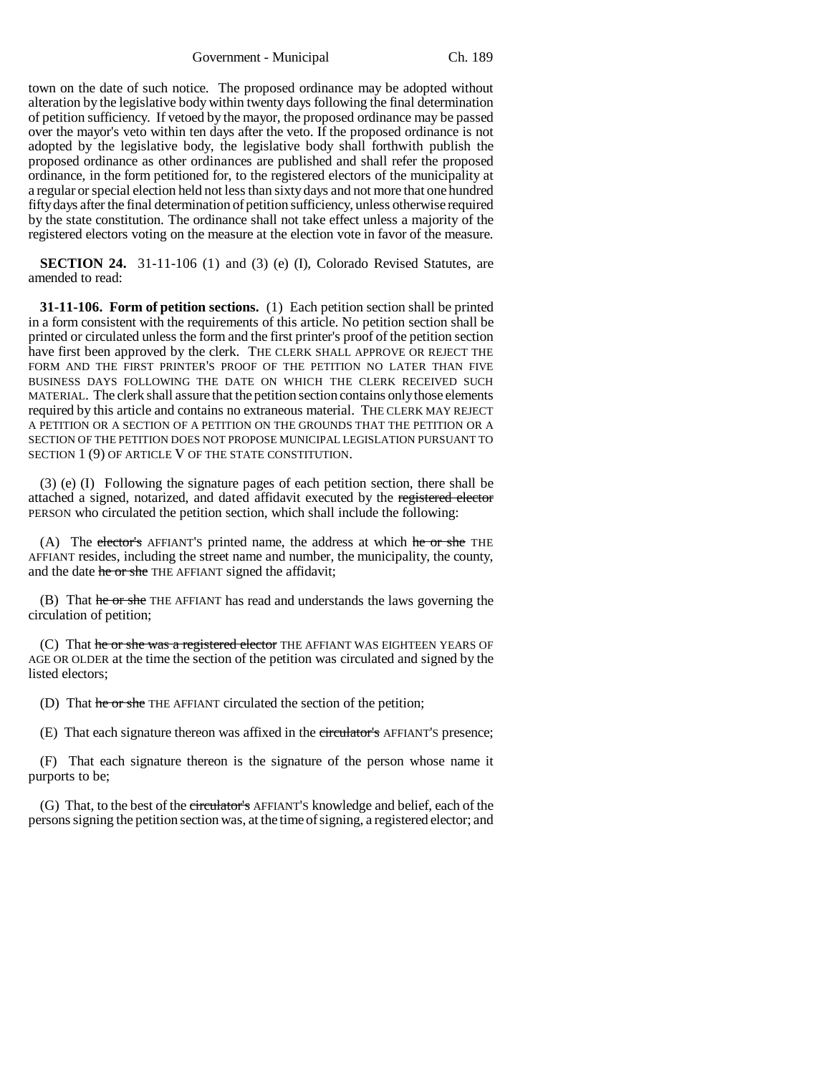Government - Municipal Ch. 189

town on the date of such notice. The proposed ordinance may be adopted without alteration by the legislative body within twenty days following the final determination of petition sufficiency. If vetoed by the mayor, the proposed ordinance may be passed over the mayor's veto within ten days after the veto. If the proposed ordinance is not adopted by the legislative body, the legislative body shall forthwith publish the proposed ordinance as other ordinances are published and shall refer the proposed ordinance, in the form petitioned for, to the registered electors of the municipality at a regular or special election held not less than sixty days and not more that one hundred fifty days after the final determination of petition sufficiency, unless otherwise required by the state constitution. The ordinance shall not take effect unless a majority of the registered electors voting on the measure at the election vote in favor of the measure.

**SECTION 24.** 31-11-106 (1) and (3) (e) (I), Colorado Revised Statutes, are amended to read:

**31-11-106. Form of petition sections.** (1) Each petition section shall be printed in a form consistent with the requirements of this article. No petition section shall be printed or circulated unless the form and the first printer's proof of the petition section have first been approved by the clerk. THE CLERK SHALL APPROVE OR REJECT THE FORM AND THE FIRST PRINTER'S PROOF OF THE PETITION NO LATER THAN FIVE BUSINESS DAYS FOLLOWING THE DATE ON WHICH THE CLERK RECEIVED SUCH MATERIAL. The clerk shall assure that the petition section contains only those elements required by this article and contains no extraneous material. THE CLERK MAY REJECT A PETITION OR A SECTION OF A PETITION ON THE GROUNDS THAT THE PETITION OR A SECTION OF THE PETITION DOES NOT PROPOSE MUNICIPAL LEGISLATION PURSUANT TO SECTION 1 (9) OF ARTICLE V OF THE STATE CONSTITUTION.

(3) (e) (I) Following the signature pages of each petition section, there shall be attached a signed, notarized, and dated affidavit executed by the registered elector PERSON who circulated the petition section, which shall include the following:

(A) The elector's AFFIANT'S printed name, the address at which he or she THE AFFIANT resides, including the street name and number, the municipality, the county, and the date he or she THE AFFIANT signed the affidavit;

(B) That he or she THE AFFIANT has read and understands the laws governing the circulation of petition;

(C) That he or she was a registered elector THE AFFIANT WAS EIGHTEEN YEARS OF AGE OR OLDER at the time the section of the petition was circulated and signed by the listed electors;

(D) That he or she THE AFFIANT circulated the section of the petition;

(E) That each signature thereon was affixed in the circulator's AFFIANT'S presence;

(F) That each signature thereon is the signature of the person whose name it purports to be;

(G) That, to the best of the circulator's AFFIANT'S knowledge and belief, each of the persons signing the petition section was, at the time of signing, a registered elector; and